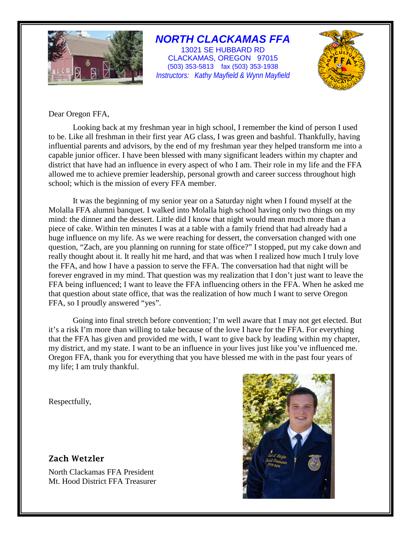

# *NORTH CLACKAMAS FFA*

13021 SE HUBBARD RD CLACKAMAS, OREGON 97015 (503) 353-5813 fax (503) 353-1938 *Instructors: Kathy Mayfield & Wynn Mayfield*



# Dear Oregon FFA,

Looking back at my freshman year in high school, I remember the kind of person I used to be. Like all freshman in their first year AG class, I was green and bashful. Thankfully, having influential parents and advisors, by the end of my freshman year they helped transform me into a capable junior officer. I have been blessed with many significant leaders within my chapter and district that have had an influence in every aspect of who I am. Their role in my life and the FFA allowed me to achieve premier leadership, personal growth and career success throughout high school; which is the mission of every FFA member.

It was the beginning of my senior year on a Saturday night when I found myself at the Molalla FFA alumni banquet. I walked into Molalla high school having only two things on my mind: the dinner and the dessert. Little did I know that night would mean much more than a piece of cake. Within ten minutes I was at a table with a family friend that had already had a huge influence on my life. As we were reaching for dessert, the conversation changed with one question, "Zach, are you planning on running for state office?" I stopped, put my cake down and really thought about it. It really hit me hard, and that was when I realized how much I truly love the FFA, and how I have a passion to serve the FFA. The conversation had that night will be forever engraved in my mind. That question was my realization that I don't just want to leave the FFA being influenced; I want to leave the FFA influencing others in the FFA. When he asked me that question about state office, that was the realization of how much I want to serve Oregon FFA, so I proudly answered "yes".

Going into final stretch before convention; I'm well aware that I may not get elected. But it's a risk I'm more than willing to take because of the love I have for the FFA. For everything that the FFA has given and provided me with, I want to give back by leading within my chapter, my district, and my state. I want to be an influence in your lives just like you've influenced me. Oregon FFA, thank you for everything that you have blessed me with in the past four years of my life; I am truly thankful.

Respectfully,

# Zach Wetzler

North Clackamas FFA President Mt. Hood District FFA Treasurer